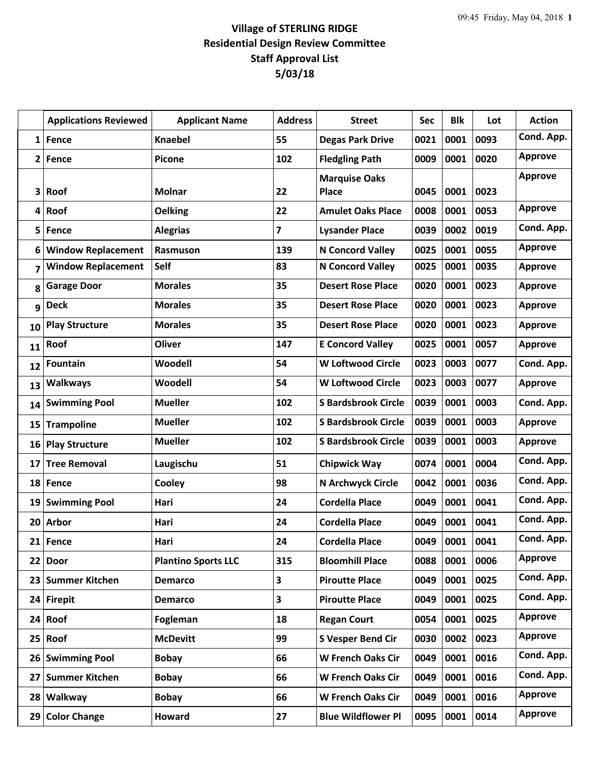## **Village of STERLING RIDGE Residential Design Review Committee Staff Approval List 5/03/18**

|              | <b>Applications Reviewed</b> | <b>Applicant Name</b>      | <b>Address</b>          | <b>Street</b>                        | Sec  | <b>Blk</b> | Lot  | <b>Action</b>  |
|--------------|------------------------------|----------------------------|-------------------------|--------------------------------------|------|------------|------|----------------|
| 1            | Fence                        | <b>Knaebel</b>             | 55                      | <b>Degas Park Drive</b>              | 0021 | 0001       | 0093 | Cond. App.     |
| $\mathbf{2}$ | <b>Fence</b>                 | <b>Picone</b>              | 102                     | <b>Fledgling Path</b>                | 0009 | 0001       | 0020 | <b>Approve</b> |
| 3            | Roof                         | <b>Molnar</b>              | 22                      | <b>Marquise Oaks</b><br><b>Place</b> | 0045 | 0001       | 0023 | <b>Approve</b> |
| 4            | Roof                         | <b>Oelking</b>             | 22                      | <b>Amulet Oaks Place</b>             | 0008 | 0001       | 0053 | <b>Approve</b> |
| 5            | Fence                        | <b>Alegrias</b>            | $\overline{\mathbf{z}}$ | <b>Lysander Place</b>                | 0039 | 0002       | 0019 | Cond. App.     |
| 6            | <b>Window Replacement</b>    | <b>Rasmuson</b>            | 139                     | <b>N Concord Valley</b>              | 0025 | 0001       | 0055 | <b>Approve</b> |
| 7            | <b>Window Replacement</b>    | Self                       | 83                      | <b>N Concord Valley</b>              | 0025 | 0001       | 0035 | <b>Approve</b> |
| 8            | <b>Garage Door</b>           | <b>Morales</b>             | 35                      | <b>Desert Rose Place</b>             | 0020 | 0001       | 0023 | <b>Approve</b> |
| 9            | <b>Deck</b>                  | <b>Morales</b>             | 35                      | <b>Desert Rose Place</b>             | 0020 | 0001       | 0023 | <b>Approve</b> |
| 10           | <b>Play Structure</b>        | <b>Morales</b>             | 35                      | <b>Desert Rose Place</b>             | 0020 | 0001       | 0023 | <b>Approve</b> |
| 11           | Roof                         | Oliver                     | 147                     | <b>E Concord Valley</b>              | 0025 | 0001       | 0057 | <b>Approve</b> |
| 12           | Fountain                     | Woodell                    | 54                      | <b>W Loftwood Circle</b>             | 0023 | 0003       | 0077 | Cond. App.     |
| 13           | <b>Walkways</b>              | Woodell                    | 54                      | <b>W Loftwood Circle</b>             | 0023 | 0003       | 0077 | <b>Approve</b> |
| 14           | <b>Swimming Pool</b>         | <b>Mueller</b>             | 102                     | <b>S Bardsbrook Circle</b>           | 0039 | 0001       | 0003 | Cond. App.     |
| 15           | <b>Trampoline</b>            | <b>Mueller</b>             | 102                     | <b>S Bardsbrook Circle</b>           | 0039 | 0001       | 0003 | <b>Approve</b> |
| 16           | <b>Play Structure</b>        | <b>Mueller</b>             | 102                     | <b>S Bardsbrook Circle</b>           | 0039 | 0001       | 0003 | <b>Approve</b> |
| 17           | <b>Tree Removal</b>          | Laugischu                  | 51                      | <b>Chipwick Way</b>                  | 0074 | 0001       | 0004 | Cond. App.     |
| 18           | Fence                        | Cooley                     | 98                      | N Archwyck Circle                    | 0042 | 0001       | 0036 | Cond. App.     |
|              | 19 Swimming Pool             | Hari                       | 24                      | <b>Cordella Place</b>                | 0049 | 0001       | 0041 | Cond. App.     |
|              | 20 Arbor                     | Hari                       | 24                      | <b>Cordella Place</b>                | 0049 | 0001       | 0041 | Cond. App.     |
|              | 21 Fence                     | Hari                       | 24                      | <b>Cordella Place</b>                | 0049 | 0001       | 0041 | Cond. App.     |
|              | 22 Door                      | <b>Plantino Sports LLC</b> | 315                     | <b>Bloomhill Place</b>               | 0088 | 0001       | 0006 | <b>Approve</b> |
| 23           | <b>Summer Kitchen</b>        | <b>Demarco</b>             | 3                       | <b>Piroutte Place</b>                | 0049 | 0001       | 0025 | Cond. App.     |
|              | 24 Firepit                   | <b>Demarco</b>             | $\overline{\mathbf{3}}$ | <b>Piroutte Place</b>                | 0049 | 0001       | 0025 | Cond. App.     |
|              | $24$ Roof                    | Fogleman                   | 18                      | <b>Regan Court</b>                   | 0054 | 0001       | 0025 | <b>Approve</b> |
| 25           | Roof                         | <b>McDevitt</b>            | 99                      | <b>S Vesper Bend Cir</b>             | 0030 | 0002       | 0023 | <b>Approve</b> |
|              | 26 Swimming Pool             | <b>Bobay</b>               | 66                      | <b>W French Oaks Cir</b>             | 0049 | 0001       | 0016 | Cond. App.     |
| 27           | <b>Summer Kitchen</b>        | <b>Bobay</b>               | 66                      | <b>W French Oaks Cir</b>             | 0049 | 0001       | 0016 | Cond. App.     |
| 28           | Walkway                      | <b>Bobay</b>               | 66                      | <b>W French Oaks Cir</b>             | 0049 | 0001       | 0016 | <b>Approve</b> |
| 29           | <b>Color Change</b>          | <b>Howard</b>              | 27                      | <b>Blue Wildflower Pl</b>            | 0095 | 0001       | 0014 | <b>Approve</b> |